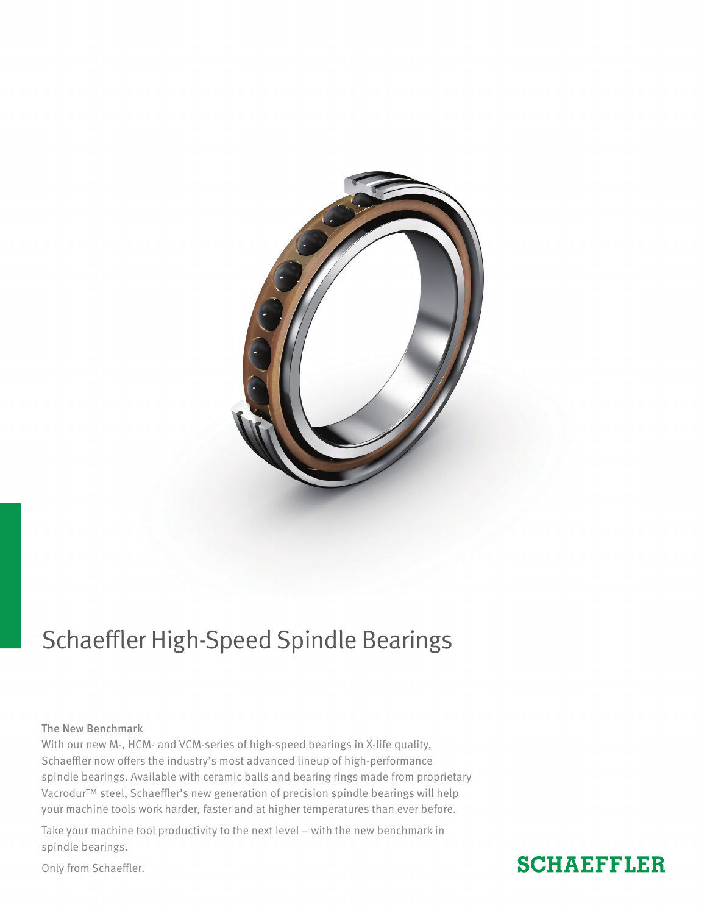

# Schaeffler High-Speed Spindle Bearings

# The New Benchmark

With our new M-, HCM- and VCM-series of high-speed bearings in X-life quality, Schaeffler now offers the industry's most advanced lineup of high-performance spindle bearings. Available with ceramic balls and bearing rings made from proprietary Vacrodur™ steel, Schaeffler's new generation of precision spindle bearings will help your machine tools work harder, faster and at higher temperatures than ever before.

Take your machine tool productivity to the next level – with the new benchmark in spindle bearings.

Only from Schaeffler.

# **SCHAEFFLER**